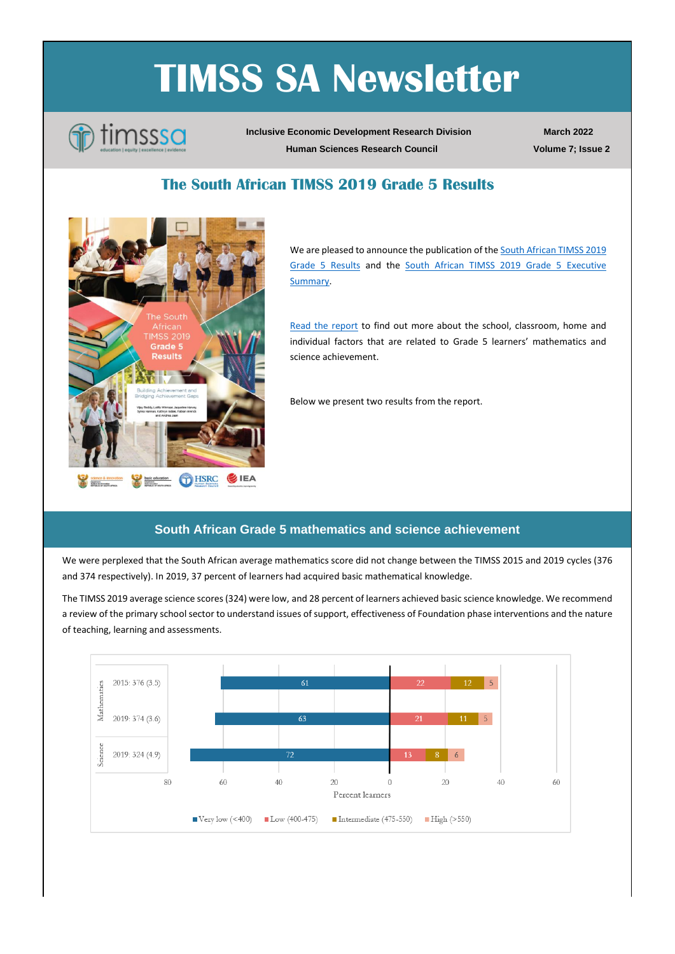# **TIMSS SA Newsletter**



**Inclusive Economic Development Research Division Human Sciences Research Council**

**March 2022 Volume 7; Issue 2**

## **The South African TIMSS 2019 Grade 5 Results**



We are pleased to announce the publication of the South African TIMSS 2019 [Grade 5 Results](https://www.timss-sa.org/publication/the-south-african-timss-2019-grade-5-results) and the [South African TIMSS 2019 Grade 5 Executive](https://www.timss-sa.org/publication/the-south-african-timss-2019-grade-5-results)  [Summary.](https://www.timss-sa.org/publication/the-south-african-timss-2019-grade-5-results)

[Read the report](https://www.timss-sa.org/publication/the-south-african-timss-2019-grade-5-results) to find out more about the school, classroom, home and individual factors that are related to Grade 5 learners' mathematics and science achievement.

Below we present two results from the report.

#### **South African Grade 5 mathematics and science achievement**

We were perplexed that the South African average mathematics score did not change between the TIMSS 2015 and 2019 cycles (376 and 374 respectively). In 2019, 37 percent of learners had acquired basic mathematical knowledge.

The TIMSS 2019 average science scores (324) were low, and 28 percent of learners achieved basic science knowledge. We recommend a review of the primary school sector to understand issues of support, effectiveness of Foundation phase interventions and the nature of teaching, learning and assessments.